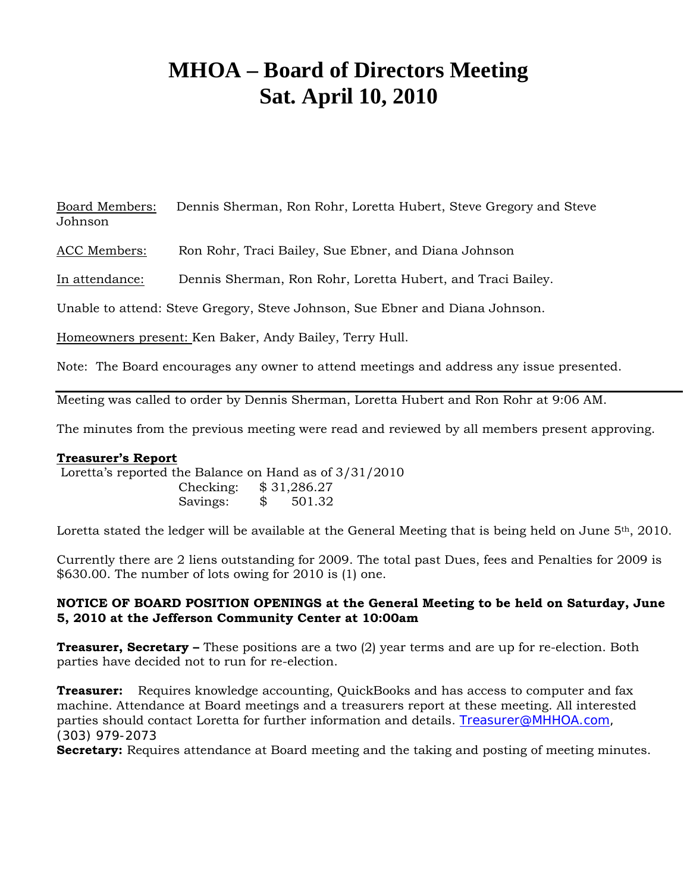# **MHOA – Board of Directors Meeting Sat. April 10, 2010**

Board Members: Dennis Sherman, Ron Rohr, Loretta Hubert, Steve Gregory and Steve Johnson

ACC Members: Ron Rohr, Traci Bailey, Sue Ebner, and Diana Johnson

In attendance: Dennis Sherman, Ron Rohr, Loretta Hubert, and Traci Bailey.

Unable to attend: Steve Gregory, Steve Johnson, Sue Ebner and Diana Johnson.

Homeowners present: Ken Baker, Andy Bailey, Terry Hull.

Note: The Board encourages any owner to attend meetings and address any issue presented.

Meeting was called to order by Dennis Sherman, Loretta Hubert and Ron Rohr at 9:06 AM.

The minutes from the previous meeting were read and reviewed by all members present approving.

#### **Treasurer's Report**

 Loretta's reported the Balance on Hand as of 3/31/2010 Checking: \$ 31,286.27 Savings: \$ 501.32

Loretta stated the ledger will be available at the General Meeting that is being held on June  $5<sup>th</sup>$ , 2010.

Currently there are 2 liens outstanding for 2009. The total past Dues, fees and Penalties for 2009 is \$630.00. The number of lots owing for 2010 is (1) one.

## **NOTICE OF BOARD POSITION OPENINGS at the General Meeting to be held on Saturday, June 5, 2010 at the Jefferson Community Center at 10:00am**

**Treasurer, Secretary –** These positions are a two (2) year terms and are up for re-election. Both parties have decided not to run for re-election.

**Treasurer:** Requires knowledge accounting, QuickBooks and has access to computer and fax machine. Attendance at Board meetings and a treasurers report at these meeting. All interested parties should contact Loretta for further information and details. Treasurer@MHHOA.com, (303) 979-2073

**Secretary:** Requires attendance at Board meeting and the taking and posting of meeting minutes.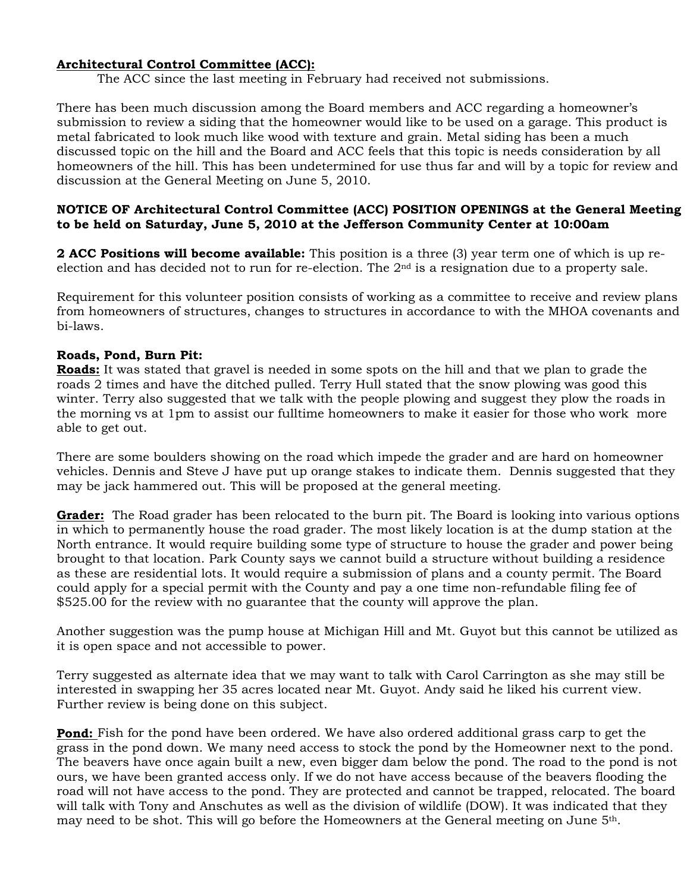## **Architectural Control Committee (ACC):**

The ACC since the last meeting in February had received not submissions.

There has been much discussion among the Board members and ACC regarding a homeowner's submission to review a siding that the homeowner would like to be used on a garage. This product is metal fabricated to look much like wood with texture and grain. Metal siding has been a much discussed topic on the hill and the Board and ACC feels that this topic is needs consideration by all homeowners of the hill. This has been undetermined for use thus far and will by a topic for review and discussion at the General Meeting on June 5, 2010.

#### **NOTICE OF Architectural Control Committee (ACC) POSITION OPENINGS at the General Meeting to be held on Saturday, June 5, 2010 at the Jefferson Community Center at 10:00am**

**2 ACC Positions will become available:** This position is a three (3) year term one of which is up reelection and has decided not to run for re-election. The 2nd is a resignation due to a property sale.

Requirement for this volunteer position consists of working as a committee to receive and review plans from homeowners of structures, changes to structures in accordance to with the MHOA covenants and bi-laws.

## **Roads, Pond, Burn Pit:**

**Roads:** It was stated that gravel is needed in some spots on the hill and that we plan to grade the roads 2 times and have the ditched pulled. Terry Hull stated that the snow plowing was good this winter. Terry also suggested that we talk with the people plowing and suggest they plow the roads in the morning vs at 1pm to assist our fulltime homeowners to make it easier for those who work more able to get out.

There are some boulders showing on the road which impede the grader and are hard on homeowner vehicles. Dennis and Steve J have put up orange stakes to indicate them. Dennis suggested that they may be jack hammered out. This will be proposed at the general meeting.

**Grader:** The Road grader has been relocated to the burn pit. The Board is looking into various options in which to permanently house the road grader. The most likely location is at the dump station at the North entrance. It would require building some type of structure to house the grader and power being brought to that location. Park County says we cannot build a structure without building a residence as these are residential lots. It would require a submission of plans and a county permit. The Board could apply for a special permit with the County and pay a one time non-refundable filing fee of \$525.00 for the review with no guarantee that the county will approve the plan.

Another suggestion was the pump house at Michigan Hill and Mt. Guyot but this cannot be utilized as it is open space and not accessible to power.

Terry suggested as alternate idea that we may want to talk with Carol Carrington as she may still be interested in swapping her 35 acres located near Mt. Guyot. Andy said he liked his current view. Further review is being done on this subject.

**Pond:** Fish for the pond have been ordered. We have also ordered additional grass carp to get the grass in the pond down. We many need access to stock the pond by the Homeowner next to the pond. The beavers have once again built a new, even bigger dam below the pond. The road to the pond is not ours, we have been granted access only. If we do not have access because of the beavers flooding the road will not have access to the pond. They are protected and cannot be trapped, relocated. The board will talk with Tony and Anschutes as well as the division of wildlife (DOW). It was indicated that they may need to be shot. This will go before the Homeowners at the General meeting on June 5th.